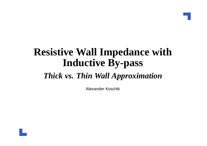# **Resistive Wall Impedance withInductive By-pass**

#### *Thick vs. Thin Wall Approximation*

Alexander Koschik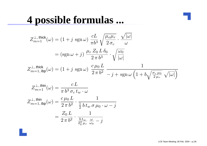### **4 possible formulas ...**

$$
Z_{m=1}^{\perp, \text{thick}}(\omega) = (1 + j \text{ sgn } \omega) \frac{cL}{\pi b^3} \sqrt{\frac{\mu_o \mu_r}{2 \sigma_c}} \cdot \frac{\sqrt{|\omega|}}{\omega}
$$
  
\n
$$
= (\text{sgn } \omega + j) \frac{\mu_r Z_0 L \delta_0}{2 \pi b^3} \cdot \sqrt{\frac{\omega_0}{|\omega|}}
$$
  
\n
$$
Z_{m=1, \text{ibp}}^{\perp, \text{thick}}(\omega) = (1 + j \text{ sgn } \omega) \frac{c \mu_0 L}{2 \pi b^2} \frac{1}{-j + \text{sgn } \omega \left(1 + b\sqrt{\frac{\sigma_c \mu_0}{2 \mu_r}} \sqrt{|\omega|}\right)}
$$
  
\n
$$
Z_{m=1}^{\perp, \text{thin}}(\omega) = \frac{cL}{\pi b^3 \sigma_c t_w \cdot \omega}
$$
  
\n
$$
Z_{m=1, \text{ibp}}^{\perp, \text{thin}}(\omega) = \frac{c \mu_0 L}{2 \pi b^2} \cdot \frac{1}{\frac{1}{2} b t_w \sigma \mu_0 \cdot \omega - j}
$$
  
\n
$$
= \frac{Z_0 L}{2 \pi b^2} \cdot \frac{1}{\frac{b t_w}{\delta_0^2 \mu_r} \frac{\omega}{\omega_0} - j}
$$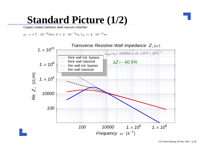### **Standard Picture (1/2)**

Copper coated stainless steel vacuum chamber

 $\rho_c = 1.7 \cdot 10^{-8} \Omega m, b = 2 \cdot 10^{-2}$  $^{2}m, t_{w} = 2 \cdot 10^{-3}m$ 

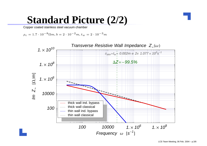### **Standard Picture (2/2)**

Copper coated stainless steel vacuum chamber

 $\rho_c = 1.7 \cdot 10^{-8} \Omega m, b = 2 \cdot 10^{-2}$  $^{2}m, t_{w} = 2 \cdot 10^{-3}m$ 

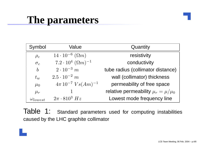# **The parameters**

| Symbol            | Value                               | Quantity                                  |
|-------------------|-------------------------------------|-------------------------------------------|
| $\rho_c$          | $14 \cdot 10^{-6}$ $(\Omega m)$     | resistivity                               |
| $\sigma_c$        | $7.2 \cdot 10^4 \; (\Omega m)^{-1}$ | conductivity                              |
| $\boldsymbol{b}$  | $2 \cdot 10^{-3}$ m                 | tube radius (collimator distance)         |
| $t_w$             | $2.5 \cdot 10^{-2}$ m               | wall (collimator) thickness               |
| $\mu_0$           | $4\pi 10^{-7} V s (Am)^{-1}$        | permeability of free space                |
| $\mu_r$           |                                     | relative permeability $\mu_r = \mu/\mu_0$ |
| $\omega_{lowest}$ | $2\pi \cdot 810^3$ Hz               | Lowest mode frequency line                |

Table 1: Standard parameters used for computing instabilitiescaused by the LHC graphite collimator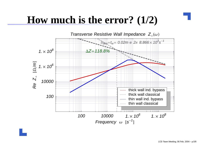# **How much is the error?**  $(1/2)$

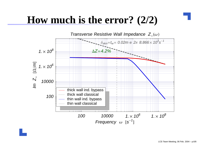# **How much is the error?**  $(2/2)$

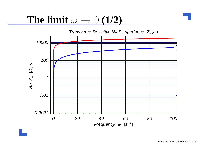#### The  $\lim$ it  $\omega \rightarrow$  $\rightarrow 0$   $(1/2)$ <br>verse Resistive Wall

Transverse Resistive Wall Impedance  $Z_{\perp}(\omega)$